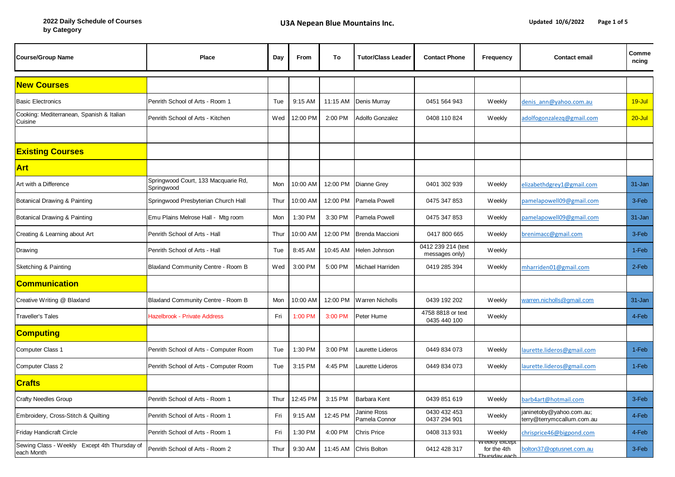| <b>Course/Group Name</b>                                   | Place                                             | Day  | From     | To       | <b>Tutor/Class Leader</b>    | <b>Contact Phone</b>                 | Frequency                                      | <b>Contact email</b>                                   | Comme<br>ncing |
|------------------------------------------------------------|---------------------------------------------------|------|----------|----------|------------------------------|--------------------------------------|------------------------------------------------|--------------------------------------------------------|----------------|
| <b>New Courses</b>                                         |                                                   |      |          |          |                              |                                      |                                                |                                                        |                |
| <b>Basic Electronics</b>                                   | Penrith School of Arts - Room 1                   | Tue  | 9:15 AM  | 11:15 AM | Denis Murray                 | 0451 564 943                         | Weekly                                         | denis ann@yahoo.com.au                                 | 19-Jul         |
| Cooking: Mediterranean, Spanish & Italian<br>Cuisine       | Penrith School of Arts - Kitchen                  | Wed  | 12:00 PM | 2:00 PM  | Adolfo Gonzalez              | 0408 110 824                         | Weekly                                         | adolfogonzalezq@gmail.com                              | $20 -$ Jul     |
|                                                            |                                                   |      |          |          |                              |                                      |                                                |                                                        |                |
| <b>Existing Courses</b>                                    |                                                   |      |          |          |                              |                                      |                                                |                                                        |                |
| <b>Art</b>                                                 |                                                   |      |          |          |                              |                                      |                                                |                                                        |                |
| Art with a Difference                                      | Springwood Court, 133 Macquarie Rd,<br>Springwood | Mon  | 10:00 AM | 12:00 PM | <b>Dianne Grey</b>           | 0401 302 939                         | Weekly                                         | elizabethdgrey1@gmail.com                              | 31-Jan         |
| Botanical Drawing & Painting                               | Springwood Presbyterian Church Hall               | Thur | 10:00 AM | 12:00 PM | Pamela Powell                | 0475 347 853                         | Weekly                                         | pamelapowell09@gmail.com                               | 3-Feb          |
| Botanical Drawing & Painting                               | Emu Plains Melrose Hall - Mtg room                | Mon  | 1:30 PM  | 3:30 PM  | Pamela Powell                | 0475 347 853                         | Weekly                                         | pamelapowell09@gmail.com                               | 31-Jan         |
| Creating & Learning about Art                              | Penrith School of Arts - Hall                     | Thur | 10:00 AM | 12:00 PM | Brenda Maccioni              | 0417 800 665                         | Weekly                                         | brenimacc@gmail.com                                    | 3-Feb          |
| Drawing                                                    | Penrith School of Arts - Hall                     | Tue  | 8:45 AM  | 10:45 AM | Helen Johnson                | 0412 239 214 (text<br>messages only) | Weekly                                         |                                                        | 1-Feb          |
| Sketching & Painting                                       | Blaxland Community Centre - Room B                | Wed  | 3:00 PM  | 5:00 PM  | Michael Harriden             | 0419 285 394                         | Weekly                                         | mharriden01@gmail.com                                  | 2-Feb          |
| <b>Communication</b>                                       |                                                   |      |          |          |                              |                                      |                                                |                                                        |                |
| Creative Writing @ Blaxland                                | Blaxland Community Centre - Room B                | Mon  | 10:00 AM | 12:00 PM | <b>Warren Nicholls</b>       | 0439 192 202                         | Weekly                                         | varren.nicholls@gmail.com                              | 31-Jan         |
| Traveller's Tales                                          | Hazelbrook - Private Address                      | Fri  | 1:00 PM  | 3:00 PM  | Peter Hume                   | 4758 8818 or text<br>0435 440 100    | <b>Weekly</b>                                  |                                                        | 4-Feb          |
| <u>Computing</u>                                           |                                                   |      |          |          |                              |                                      |                                                |                                                        |                |
| Computer Class 1                                           | Penrith School of Arts - Computer Room            | Tue  | 1:30 PM  | 3:00 PM  | Laurette Lideros             | 0449 834 073                         | Weekly                                         | aurette.lideros@gmail.com                              | 1-Feb          |
| Computer Class 2                                           | Penrith School of Arts - Computer Room            | Tue  | 3:15 PM  | 4:45 PM  | Laurette Lideros             | 0449 834 073                         | Weekly                                         | aurette.lideros@gmail.com                              | 1-Feb          |
| <b>Crafts</b>                                              |                                                   |      |          |          |                              |                                      |                                                |                                                        |                |
| <b>Crafty Needles Group</b>                                | Penrith School of Arts - Room 1                   | Thur | 12:45 PM | 3:15 PM  | Barbara Kent                 | 0439 851 619                         | Weekly                                         | barb4art@hotmail.com                                   | 3-Feb          |
| Embroidery, Cross-Stitch & Quilting                        | Penrith School of Arts - Room 1                   | Fri  | 9:15 AM  | 12:45 PM | Janine Ross<br>Pamela Connor | 0430 432 453<br>0437 294 901         | Weekly                                         | janinetoby@yahoo.com.au;<br>terry@terrymccallum.com.au | 4-Feb          |
| Friday Handicraft Circle                                   | Penrith School of Arts - Room 1                   | Fri  | 1:30 PM  | 4:00 PM  | <b>Chris Price</b>           | 0408 313 931                         | Weekly                                         | chrisprice46@bigpond.com                               | 4-Feb          |
| Sewing Class - Weekly Except 4th Thursday of<br>each Month | Penrith School of Arts - Room 2                   | Thur | 9:30 AM  | 11:45 AM | <b>Chris Bolton</b>          | 0412 428 317                         | v еекіу ехсерт<br>for the 4th<br>Thursday each | oolton37@optusnet.com.au                               | 3-Feb          |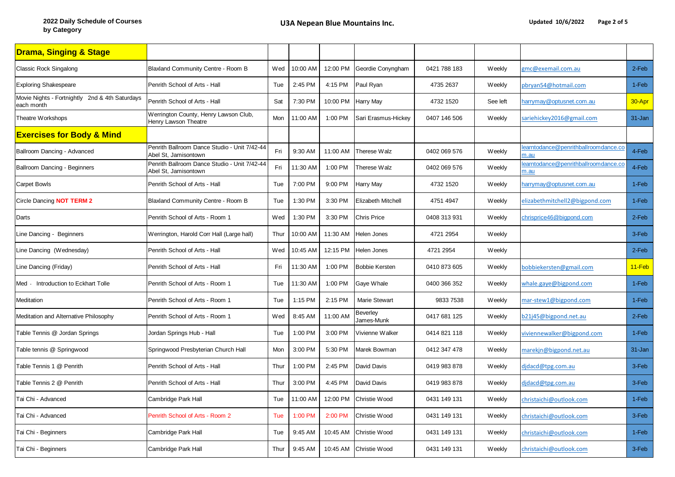| <b>Drama, Singing &amp; Stage</b>                            |                                                                      |      |          |          |                        |              |               |                                                    |            |
|--------------------------------------------------------------|----------------------------------------------------------------------|------|----------|----------|------------------------|--------------|---------------|----------------------------------------------------|------------|
| <b>Classic Rock Singalong</b>                                | Blaxland Community Centre - Room B                                   | Wed  | 10:00 AM | 12:00 PM | Geordie Conyngham      | 0421 788 183 | <b>Weekly</b> | gmc@exemail.com.au                                 | 2-Feb      |
| <b>Exploring Shakespeare</b>                                 | Penrith School of Arts - Hall                                        | Tue  | 2:45 PM  | 4:15 PM  | Paul Ryan              | 4735 2637    | Weekly        | pbryan54@hotmail.com                               | 1-Feb      |
| Movie Nights - Fortnightly 2nd & 4th Saturdays<br>each month | Penrith School of Arts - Hall                                        | Sat  | 7:30 PM  | 10:00 PM | <b>Harry May</b>       | 4732 1520    | See left      | narrymay@optusnet.com.au                           | 30-Apr     |
| Theatre Workshops                                            | Werrington County, Henry Lawson Club,<br>Henry Lawson Theatre        | Mon  | 11:00 AM | 1:00 PM  | Sari Erasmus-Hickey    | 0407 146 506 | Weekly        | ariehickey2016@gmail.com                           | $31 - Jan$ |
| <b>Exercises for Body &amp; Mind</b>                         |                                                                      |      |          |          |                        |              |               |                                                    |            |
| Ballroom Dancing - Advanced                                  | Penrith Ballroom Dance Studio - Unit 7/42-44<br>Abel St. Jamisontown | Fri  | 9:30 AM  | 11:00 AM | Therese Walz           | 0402 069 576 | Weekly        | earntodance@penrithballroomdance.co<br>n.au        | 4-Feb      |
| Ballroom Dancing - Beginners                                 | Penrith Ballroom Dance Studio - Unit 7/42-44<br>Abel St, Jamisontown | Fri  | 11:30 AM | 1:00 PM  | Therese Walz           | 0402 069 576 | Weekly        | earntodance@penrithballroomdance.co<br><u>n.au</u> | 4-Feb      |
| <b>Carpet Bowls</b>                                          | Penrith School of Arts - Hall                                        | Tue  | 7:00 PM  | 9:00 PM  | <b>Harry May</b>       | 4732 1520    | Weekly        | narrymay@optusnet.com.au                           | 1-Feb      |
| Circle Dancing NOT TERM 2                                    | Blaxland Community Centre - Room B                                   | Tue  | 1:30 PM  | 3:30 PM  | Elizabeth Mitchell     | 4751 4947    | Weekly        | elizabethmitchell2@bigpond.com                     | 1-Feb      |
| Darts                                                        | Penrith School of Arts - Room 1                                      | Wed  | 1:30 PM  | 3:30 PM  | <b>Chris Price</b>     | 0408 313 931 | Weekly        | chrisprice46@bigpond.com                           | 2-Feb      |
| Line Dancing - Beginners                                     | Werrington, Harold Corr Hall (Large hall)                            | Thur | 10:00 AM | 11:30 AM | <b>Helen Jones</b>     | 4721 2954    | Weekly        |                                                    | 3-Feb      |
| Line Dancing (Wednesday)                                     | Penrith School of Arts - Hall                                        | Wed  | 10:45 AM | 12:15 PM | <b>Helen Jones</b>     | 4721 2954    | Weekly        |                                                    | 2-Feb      |
| Line Dancing (Friday)                                        | Penrith School of Arts - Hall                                        | Fri  | 11:30 AM | 1:00 PM  | <b>Bobbie Kersten</b>  | 0410 873 605 | <b>Weekly</b> | bobbiekersten@gmail.com                            | 11-Feb     |
| Med - Introduction to Eckhart Tolle                          | Penrith School of Arts - Room 1                                      | Tue  | 11:30 AM | 1:00 PM  | Gaye Whale             | 0400 366 352 | <b>Weekly</b> | whale.gaye@bigpond.com                             | 1-Feb      |
| Meditation                                                   | Penrith School of Arts - Room 1                                      | Tue  | 1:15 PM  | 2:15 PM  | Marie Stewart          | 9833 7538    | Weekly        | mar-stew1@bigpond.com                              | 1-Feb      |
| Meditation and Alternative Philosophy                        | Penrith School of Arts - Room 1                                      | Wed  | 8:45 AM  | 11:00 AM | Beverley<br>James-Munk | 0417 681 125 | Weekly        | b21j45@bigpond.net.au                              | 2-Feb      |
| Table Tennis @ Jordan Springs                                | Jordan Springs Hub - Hall                                            | Tue  | 1:00 PM  | 3:00 PM  | Vivienne Walker        | 0414 821 118 | Weekly        | viviennewalker@bigpond.com                         | 1-Feb      |
| Table tennis @ Springwood                                    | Springwood Presbyterian Church Hall                                  | Mon  | 3:00 PM  | 5:30 PM  | Marek Bowman           | 0412 347 478 | <b>Weekly</b> | marekjn@bigpond.net.au                             | 31-Jan     |
| Table Tennis 1 @ Penrith                                     | Penrith School of Arts - Hall                                        | Thur | 1:00 PM  | 2:45 PM  | David Davis            | 0419 983 878 | <b>Weekly</b> | didacd@tpg.com.au                                  | 3-Feb      |
| Table Tennis 2 @ Penrith                                     | Penrith School of Arts - Hall                                        | Thur | 3:00 PM  | 4:45 PM  | David Davis            | 0419 983 878 | <b>Weekly</b> | didacd@tpg.com.au                                  | 3-Feb      |
| Tai Chi - Advanced                                           | Cambridge Park Hall                                                  | Tue  | 11:00 AM | 12:00 PM | Christie Wood          | 0431 149 131 | <b>Weekly</b> | christaichi@outlook.com                            | 1-Feb      |
| Tai Chi - Advanced                                           | Penrith School of Arts - Room 2                                      | Tue  | 1:00 PM  | 2:00 PM  | Christie Wood          | 0431 149 131 | Weekly        | christaichi@outlook.com                            | 3-Feb      |
| Tai Chi - Beginners                                          | Cambridge Park Hall                                                  | Tue  | 9:45 AM  | 10:45 AM | Christie Wood          | 0431 149 131 | <b>Weekly</b> | christaichi@outlook.com                            | 1-Feb      |
| Tai Chi - Beginners                                          | Cambridge Park Hall                                                  | Thur | 9:45 AM  | 10:45 AM | Christie Wood          | 0431 149 131 | Weekly        | christaichi@outlook.com                            | 3-Feb      |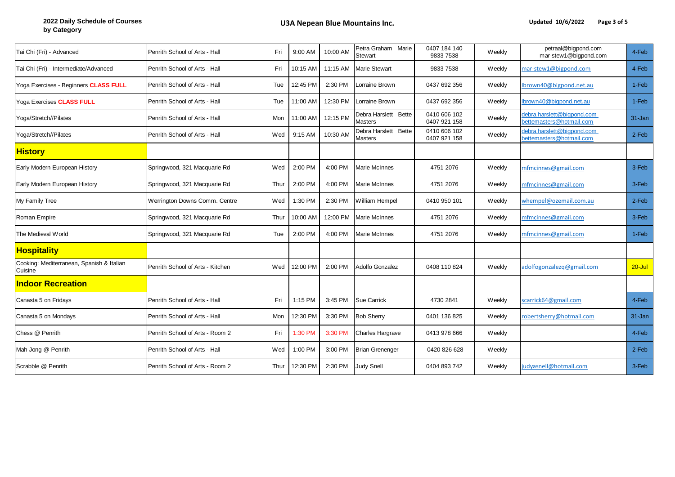| Tai Chi (Fri) - Advanced                             | Penrith School of Arts - Hall    | Fri        | 9:00 AM  | 10:00 AM | Petra Graham Marie<br><b>Stewart</b>   | 0407 184 140<br>9833 7538    | Weekly        | petraal@bigpond.com<br>mar-stew1@bigpond.com           | 4-Feb      |
|------------------------------------------------------|----------------------------------|------------|----------|----------|----------------------------------------|------------------------------|---------------|--------------------------------------------------------|------------|
| Tai Chi (Fri) - Intermediate/Advanced                | Penrith School of Arts - Hall    | Fri        | 10:15 AM | 11:15 AM | <b>Marie Stewart</b>                   | 9833 7538                    | <b>Weekly</b> | mar-stew1@bigpond.com                                  | 4-Feb      |
| Yoga Exercises - Beginners CLASS FULL                | Penrith School of Arts - Hall    | Tue        | 12:45 PM | 2:30 PM  | Lorraine Brown                         | 0437 692 356                 | <b>Weekly</b> | lbrown40@bigpond.net.au                                | 1-Feb      |
| Yoga Exercises CLASS FULL                            | Penrith School of Arts - Hall    | Tue        | 11:00 AM | 12:30 PM | Lorraine Brown                         | 0437 692 356                 | Weekly        | Ibrown40@bigpond.net.au                                | 1-Feb      |
| Yoga/Stretch//Pilates                                | Penrith School of Arts - Hall    | Mon        | 11:00 AM | 12:15 PM | Debra Harslett Bette<br><b>Masters</b> | 0410 606 102<br>0407 921 158 | Weekly        | debra.harslett@bigpond.com<br>oettemasters@hotmail.com | 31-Jan     |
| Yoga/Stretch//Pilates                                | Penrith School of Arts - Hall    | Wed        | 9:15 AM  | 10:30 AM | Debra Harslett Bette<br><b>Masters</b> | 0410 606 102<br>0407 921 158 | Weekly        | debra.harslett@bigpond.com<br>ettemasters@hotmail.com  | $2-Feb$    |
| <b>History</b>                                       |                                  |            |          |          |                                        |                              |               |                                                        |            |
| Early Modern European History                        | Springwood, 321 Macquarie Rd     | Wed        | 2:00 PM  | 4:00 PM  | Marie McInnes                          | 4751 2076                    | Weekly        | mfmcinnes@gmail.com                                    | 3-Feb      |
| Early Modern European History                        | Springwood, 321 Macquarie Rd     | Thur       | 2:00 PM  | 4:00 PM  | <b>Marie McInnes</b>                   | 4751 2076                    | <b>Weekly</b> | mfmcinnes@gmail.com                                    | 3-Feb      |
| My Family Tree                                       | Werrington Downs Comm. Centre    | Wed        | 1:30 PM  | 2:30 PM  | <b>William Hempel</b>                  | 0410 950 101                 | <b>Weekly</b> | whempel@ozemail.com.au                                 | $2-Feb$    |
| Roman Empire                                         | Springwood, 321 Macquarie Rd     | Thur       | 10:00 AM | 12:00 PM | <b>Marie McInnes</b>                   | 4751 2076                    | <b>Weekly</b> | mfmcinnes@gmail.com                                    | 3-Feb      |
| The Medieval World                                   | Springwood, 321 Macquarie Rd     | Tue        | 2:00 PM  | 4:00 PM  | Marie McInnes                          | 4751 2076                    | Weekly        | mfmcinnes@gmail.com                                    | 1-Feb      |
| <b>Hospitality</b>                                   |                                  |            |          |          |                                        |                              |               |                                                        |            |
| Cooking: Mediterranean, Spanish & Italian<br>Cuisine | Penrith School of Arts - Kitchen | Wed        | 12:00 PM | 2:00 PM  | <b>Adolfo Gonzalez</b>                 | 0408 110 824                 | <b>Weekly</b> | adolfogonzalezq@gmail.com                              | $20 -$ Jul |
| <b>Indoor Recreation</b>                             |                                  |            |          |          |                                        |                              |               |                                                        |            |
| Canasta 5 on Fridays                                 | Penrith School of Arts - Hall    | Fri        | 1:15 PM  | 3:45 PM  | <b>Sue Carrick</b>                     | 4730 2841                    | <b>Weekly</b> | scarrick64@gmail.com                                   | 4-Feb      |
| Canasta 5 on Mondays                                 | Penrith School of Arts - Hall    | <b>Mon</b> | 12:30 PM | 3:30 PM  | <b>Bob Sherry</b>                      | 0401 136 825                 | <b>Weekly</b> | robertsherry@hotmail.com                               | 31-Jan     |
| Chess @ Penrith                                      | Penrith School of Arts - Room 2  | Fri        | 1:30 PM  | 3:30 PM  | Charles Hargrave                       | 0413 978 666                 | <b>Weekly</b> |                                                        | 4-Feb      |
| Mah Jong @ Penrith                                   | Penrith School of Arts - Hall    | Wed        | 1:00 PM  | 3:00 PM  | <b>Brian Grenenger</b>                 | 0420 826 628                 | <b>Weekly</b> |                                                        | 2-Feb      |
| Scrabble @ Penrith                                   | Penrith School of Arts - Room 2  | Thur       | 12:30 PM | 2:30 PM  | <b>Judy Snell</b>                      | 0404 893 742                 | <b>Weekly</b> | judyasnell@hotmail.com                                 | 3-Feb      |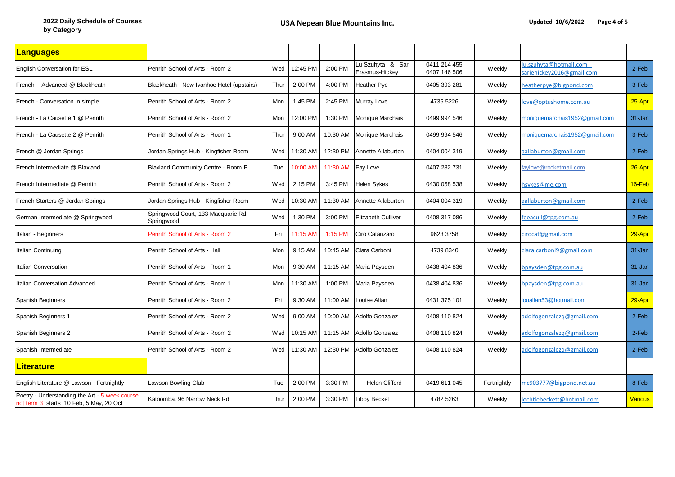| <u> Languages</u>                                                                         |                                                   |      |          |          |                                     |                              |               |                                                     |                |
|-------------------------------------------------------------------------------------------|---------------------------------------------------|------|----------|----------|-------------------------------------|------------------------------|---------------|-----------------------------------------------------|----------------|
| <b>English Conversation for ESL</b>                                                       | Penrith School of Arts - Room 2                   | Wed  | 12:45 PM | 2:00 PM  | Lu Szuhyta & Sari<br>Erasmus-Hickey | 0411 214 455<br>0407 146 506 | <b>Weekly</b> | lu.szuhyta@hotmail.com<br>sariehickey2016@gmail.com | 2-Feb          |
| French - Advanced @ Blackheath                                                            | Blackheath - New Ivanhoe Hotel (upstairs)         | Thur | 2:00 PM  | 4:00 PM  | Heather Pye                         | 0405 393 281                 | <b>Weekly</b> | heatherpye@bigpond.com                              | 3-Feb          |
| French - Conversation in simple                                                           | Penrith School of Arts - Room 2                   | Mon  | 1:45 PM  | 2:45 PM  | Murray Love                         | 4735 5226                    | Weekly        | love@optushome.com.au                               | 25-Apr         |
| French - La Causette 1 @ Penrith                                                          | Penrith School of Arts - Room 2                   | Mon  | 12:00 PM | 1:30 PM  | Monique Marchais                    | 0499 994 546                 | <b>Weekly</b> | moniquemarchais1952@gmail.com                       | 31-Jan         |
| French - La Causette 2 @ Penrith                                                          | Penrith School of Arts - Room 1                   | Thur | 9:00 AM  | 10:30 AM | Monique Marchais                    | 0499 994 546                 | <b>Weekly</b> | moniquemarchais1952@gmail.com                       | 3-Feb          |
| French @ Jordan Springs                                                                   | Jordan Springs Hub - Kingfisher Room              | Wed  | 11:30 AM | 12:30 PM | Annette Allaburton                  | 0404 004 319                 | <b>Weekly</b> | aallaburton@gmail.com                               | 2-Feb          |
| French Intermediate @ Blaxland                                                            | Blaxland Community Centre - Room B                | Tue  | 10:00 AM | 11:30 AM | Fay Love                            | 0407 282 731                 | <b>Weekly</b> | faylove@rocketmail.com                              | $26 - Apr$     |
| French Intermediate @ Penrith                                                             | Penrith School of Arts - Room 2                   | Wed  | 2:15 PM  | 3:45 PM  | <b>Helen Sykes</b>                  | 0430 058 538                 | <b>Weekly</b> | hsykes@me.com                                       | 16-Feb         |
| French Starters @ Jordan Springs                                                          | Jordan Springs Hub - Kingfisher Room              | Wed  | 10:30 AM | 11:30 AM | Annette Allaburton                  | 0404 004 319                 | <b>Weekly</b> | aallaburton@gmail.com                               | 2-Feb          |
| German Intermediate @ Springwood                                                          | Springwood Court, 133 Macquarie Rd,<br>Springwood | Wed  | 1:30 PM  | 3:00 PM  | <b>Elizabeth Culliver</b>           | 0408 317 086                 | <b>Weekly</b> | feeacull@tpg.com.au                                 | 2-Feb          |
| Italian - Beginners                                                                       | Penrith School of Arts - Room 2                   | Fri  | 11:15 AM | 1:15 PM  | Ciro Catanzaro                      | 9623 3758                    | <b>Weekly</b> | cirocat@gmail.com                                   | 29-Apr         |
| Italian Continuing                                                                        | Penrith School of Arts - Hall                     | Mon  | 9:15 AM  | 10:45 AM | Clara Carboni                       | 4739 8340                    | <b>Weekly</b> | clara.carboni9@gmail.com                            | 31-Jan         |
| Italian Conversation                                                                      | Penrith School of Arts - Room 1                   | Mon  | 9:30 AM  | 11:15 AM | Maria Paysden                       | 0438 404 836                 | Weekly        | bpaysden@tpg.com.au                                 | 31-Jan         |
| Italian Conversation Advanced                                                             | Penrith School of Arts - Room 1                   | Mon  | 11:30 AM | 1:00 PM  | Maria Paysden                       | 0438 404 836                 | <b>Weekly</b> | bpaysden@tpg.com.au                                 | 31-Jan         |
| Spanish Beginners                                                                         | Penrith School of Arts - Room 2                   | Fri  | 9:30 AM  | 11:00 AM | Louise Allan                        | 0431 375 101                 | <b>Weekly</b> | louallan53@hotmail.com                              | 29-Apr         |
| Spanish Beginners 1                                                                       | Penrith School of Arts - Room 2                   | Wed  | 9:00 AM  | 10:00 AM | <b>Adolfo Gonzalez</b>              | 0408 110 824                 | <b>Weekly</b> | adolfogonzalezq@gmail.com                           | 2-Feb          |
| Spanish Beginners 2                                                                       | Penrith School of Arts - Room 2                   | Wed  | 10:15 AM | 11:15 AM | Adolfo Gonzalez                     | 0408 110 824                 | <b>Weekly</b> | adolfogonzalezq@gmail.com                           | 2-Feb          |
| Spanish Intermediate                                                                      | Penrith School of Arts - Room 2                   | Wed  | 11:30 AM | 12:30 PM | Adolfo Gonzalez                     | 0408 110 824                 | Weekly        | adolfogonzalezq@gmail.com                           | 2-Feb          |
| <b>Literature</b>                                                                         |                                                   |      |          |          |                                     |                              |               |                                                     |                |
| English Literature @ Lawson - Fortnightly                                                 | Lawson Bowling Club                               | Tue  | 2:00 PM  | 3:30 PM  | Helen Clifford                      | 0419 611 045                 | Fortnightly   | mc903777@bigpond.net.au                             | 8-Feb          |
| Poetry - Understanding the Art - 5 week course<br>not term 3 starts 10 Feb, 5 May, 20 Oct | Katoomba, 96 Narrow Neck Rd                       | Thur | 2:00 PM  | 3:30 PM  | Libby Becket                        | 4782 5263                    | <b>Weekly</b> | lochtiebeckett@hotmail.com                          | <b>Various</b> |